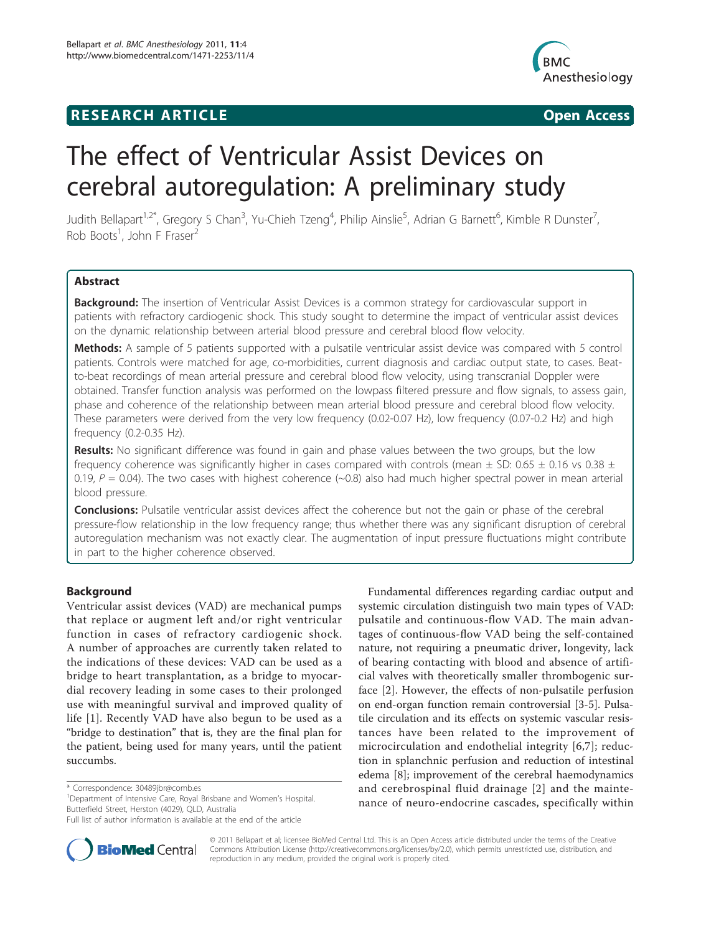## **RESEARCH ARTICLE Example 2008 CONSIDERING CONSIDERING CONSIDERING CONSIDERING CONSIDERING CONSIDERING CONSIDERING CONSIDERING CONSIDERING CONSIDERING CONSIDERING CONSIDERING CONSIDERING CONSIDERING CONSIDERING CONSIDE**



# The effect of Ventricular Assist Devices on cerebral autoregulation: A preliminary study

Judith Bellapart<sup>1,2\*</sup>, Gregory S Chan<sup>3</sup>, Yu-Chieh Tzeng<sup>4</sup>, Philip Ainslie<sup>5</sup>, Adrian G Barnett<sup>6</sup>, Kimble R Dunster<sup>7</sup> , Rob Boots<sup>1</sup>, John F Fraser<sup>2</sup>

## Abstract

Background: The insertion of Ventricular Assist Devices is a common strategy for cardiovascular support in patients with refractory cardiogenic shock. This study sought to determine the impact of ventricular assist devices on the dynamic relationship between arterial blood pressure and cerebral blood flow velocity.

Methods: A sample of 5 patients supported with a pulsatile ventricular assist device was compared with 5 control patients. Controls were matched for age, co-morbidities, current diagnosis and cardiac output state, to cases. Beatto-beat recordings of mean arterial pressure and cerebral blood flow velocity, using transcranial Doppler were obtained. Transfer function analysis was performed on the lowpass filtered pressure and flow signals, to assess gain, phase and coherence of the relationship between mean arterial blood pressure and cerebral blood flow velocity. These parameters were derived from the very low frequency (0.02-0.07 Hz), low frequency (0.07-0.2 Hz) and high frequency (0.2-0.35 Hz).

Results: No significant difference was found in gain and phase values between the two groups, but the low frequency coherence was significantly higher in cases compared with controls (mean  $\pm$  SD: 0.65  $\pm$  0.16 vs 0.38  $\pm$ 0.19,  $P = 0.04$ ). The two cases with highest coherence (~0.8) also had much higher spectral power in mean arterial blood pressure.

**Conclusions:** Pulsatile ventricular assist devices affect the coherence but not the gain or phase of the cerebral pressure-flow relationship in the low frequency range; thus whether there was any significant disruption of cerebral autoregulation mechanism was not exactly clear. The augmentation of input pressure fluctuations might contribute in part to the higher coherence observed.

## **Background**

Ventricular assist devices (VAD) are mechanical pumps that replace or augment left and/or right ventricular function in cases of refractory cardiogenic shock. A number of approaches are currently taken related to the indications of these devices: VAD can be used as a bridge to heart transplantation, as a bridge to myocardial recovery leading in some cases to their prolonged use with meaningful survival and improved quality of life [\[1](#page-7-0)]. Recently VAD have also begun to be used as a "bridge to destination" that is, they are the final plan for the patient, being used for many years, until the patient succumbs.

Full list of author information is available at the end of the article



**BioMed** Central

© 2011 Bellapart et al; licensee BioMed Central Ltd. This is an Open Access article distributed under the terms of the Creative Commons Attribution License [\(http://creativecommons.org/licenses/by/2.0](http://creativecommons.org/licenses/by/2.0)), which permits unrestricted use, distribution, and reproduction in any medium, provided the original work is properly cited.

<sup>\*</sup> Correspondence: [30489jbr@comb.es](mailto:30489jbr@comb.es)

<sup>&</sup>lt;sup>1</sup>Department of Intensive Care, Royal Brisbane and Women's Hospital. Butterfield Street, Herston (4029), QLD, Australia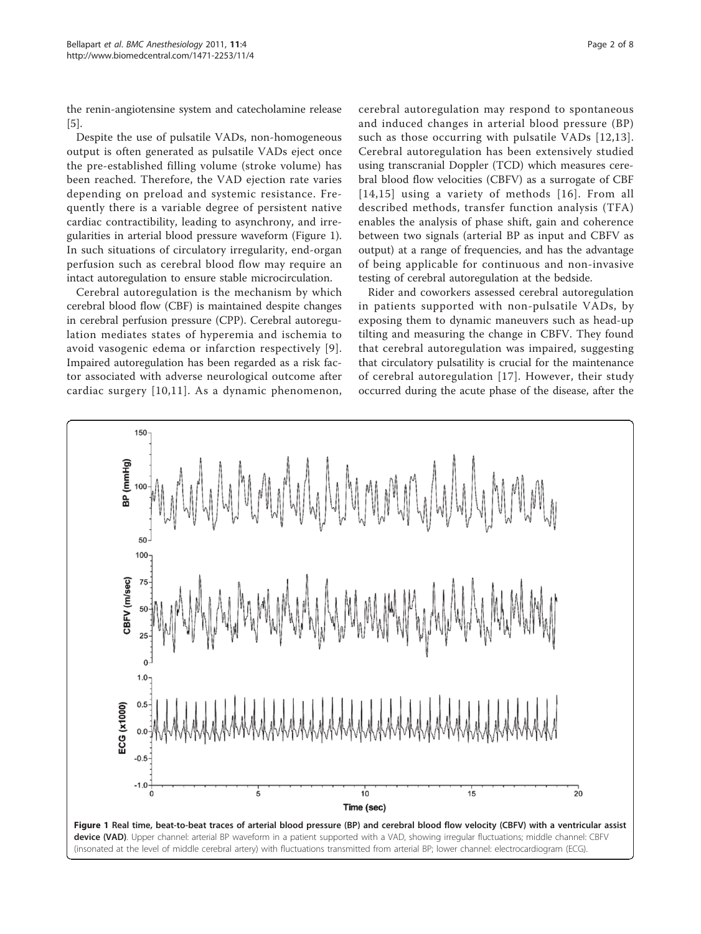the renin-angiotensine system and catecholamine release [[5\]](#page-7-0).

Despite the use of pulsatile VADs, non-homogeneous output is often generated as pulsatile VADs eject once the pre-established filling volume (stroke volume) has been reached. Therefore, the VAD ejection rate varies depending on preload and systemic resistance. Frequently there is a variable degree of persistent native cardiac contractibility, leading to asynchrony, and irregularities in arterial blood pressure waveform (Figure 1). In such situations of circulatory irregularity, end-organ perfusion such as cerebral blood flow may require an intact autoregulation to ensure stable microcirculation.

Cerebral autoregulation is the mechanism by which cerebral blood flow (CBF) is maintained despite changes in cerebral perfusion pressure (CPP). Cerebral autoregulation mediates states of hyperemia and ischemia to avoid vasogenic edema or infarction respectively [[9\]](#page-7-0). Impaired autoregulation has been regarded as a risk factor associated with adverse neurological outcome after cardiac surgery [[10,11\]](#page-7-0). As a dynamic phenomenon,

cerebral autoregulation may respond to spontaneous and induced changes in arterial blood pressure (BP) such as those occurring with pulsatile VADs [[12](#page-7-0),[13\]](#page-7-0). Cerebral autoregulation has been extensively studied using transcranial Doppler (TCD) which measures cerebral blood flow velocities (CBFV) as a surrogate of CBF [[14](#page-7-0),[15](#page-7-0)] using a variety of methods [[16\]](#page-7-0). From all described methods, transfer function analysis (TFA) enables the analysis of phase shift, gain and coherence between two signals (arterial BP as input and CBFV as output) at a range of frequencies, and has the advantage of being applicable for continuous and non-invasive testing of cerebral autoregulation at the bedside.

Rider and coworkers assessed cerebral autoregulation in patients supported with non-pulsatile VADs, by exposing them to dynamic maneuvers such as head-up tilting and measuring the change in CBFV. They found that cerebral autoregulation was impaired, suggesting that circulatory pulsatility is crucial for the maintenance of cerebral autoregulation [\[17\]](#page-7-0). However, their study occurred during the acute phase of the disease, after the

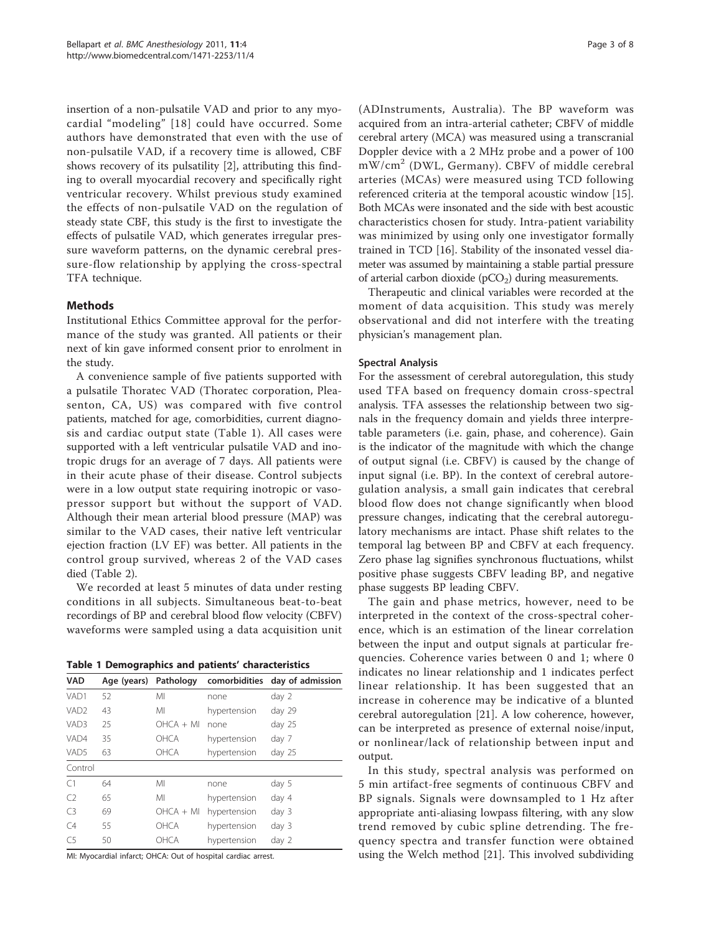<span id="page-2-0"></span>insertion of a non-pulsatile VAD and prior to any myocardial "modeling" [[18](#page-7-0)] could have occurred. Some authors have demonstrated that even with the use of non-pulsatile VAD, if a recovery time is allowed, CBF shows recovery of its pulsatility [[2\]](#page-7-0), attributing this finding to overall myocardial recovery and specifically right ventricular recovery. Whilst previous study examined the effects of non-pulsatile VAD on the regulation of steady state CBF, this study is the first to investigate the effects of pulsatile VAD, which generates irregular pressure waveform patterns, on the dynamic cerebral pressure-flow relationship by applying the cross-spectral TFA technique.

## Methods

Institutional Ethics Committee approval for the performance of the study was granted. All patients or their next of kin gave informed consent prior to enrolment in the study.

A convenience sample of five patients supported with a pulsatile Thoratec VAD (Thoratec corporation, Pleasenton, CA, US) was compared with five control patients, matched for age, comorbidities, current diagnosis and cardiac output state (Table 1). All cases were supported with a left ventricular pulsatile VAD and inotropic drugs for an average of 7 days. All patients were in their acute phase of their disease. Control subjects were in a low output state requiring inotropic or vasopressor support but without the support of VAD. Although their mean arterial blood pressure (MAP) was similar to the VAD cases, their native left ventricular ejection fraction (LV EF) was better. All patients in the control group survived, whereas 2 of the VAD cases died (Table [2](#page-3-0)).

We recorded at least 5 minutes of data under resting conditions in all subjects. Simultaneous beat-to-beat recordings of BP and cerebral blood flow velocity (CBFV) waveforms were sampled using a data acquisition unit

Table 1 Demographics and patients' characteristics

| <b>VAD</b>       |    |             |              | Age (years) Pathology comorbidities day of admission |  |  |  |  |  |
|------------------|----|-------------|--------------|------------------------------------------------------|--|--|--|--|--|
| VAD1             | 52 | MI          | none         | day 2                                                |  |  |  |  |  |
| VAD <sub>2</sub> | 43 | MI          | hypertension | day 29                                               |  |  |  |  |  |
| VAD3             | 25 | $OHCA + MI$ | none         | day 25                                               |  |  |  |  |  |
| VAD4             | 35 | <b>OHCA</b> | hypertension | day 7                                                |  |  |  |  |  |
| VAD5             | 63 | OHCA        | hypertension | day 25                                               |  |  |  |  |  |
| Control          |    |             |              |                                                      |  |  |  |  |  |
| C <sub>1</sub>   | 64 | MI          | none         | day 5                                                |  |  |  |  |  |
| C <sub>2</sub>   | 65 | MI          | hypertension | day 4                                                |  |  |  |  |  |
| C <sub>3</sub>   | 69 | $OHCA + MI$ | hypertension | day 3                                                |  |  |  |  |  |
| C4               | 55 | <b>OHCA</b> | hypertension | day 3                                                |  |  |  |  |  |
| C <sub>5</sub>   | 50 | OHCA        | hypertension | day 2                                                |  |  |  |  |  |

MI: Myocardial infarct; OHCA: Out of hospital cardiac arrest.

(ADInstruments, Australia). The BP waveform was acquired from an intra-arterial catheter; CBFV of middle cerebral artery (MCA) was measured using a transcranial Doppler device with a 2 MHz probe and a power of 100 mW/cm<sup>2</sup> (DWL, Germany). CBFV of middle cerebral arteries (MCAs) were measured using TCD following referenced criteria at the temporal acoustic window [\[15](#page-7-0)]. Both MCAs were insonated and the side with best acoustic characteristics chosen for study. Intra-patient variability was minimized by using only one investigator formally trained in TCD [[16\]](#page-7-0). Stability of the insonated vessel diameter was assumed by maintaining a stable partial pressure of arterial carbon dioxide  $(pCO<sub>2</sub>)$  during measurements.

Therapeutic and clinical variables were recorded at the moment of data acquisition. This study was merely observational and did not interfere with the treating physician's management plan.

## Spectral Analysis

For the assessment of cerebral autoregulation, this study used TFA based on frequency domain cross-spectral analysis. TFA assesses the relationship between two signals in the frequency domain and yields three interpretable parameters (i.e. gain, phase, and coherence). Gain is the indicator of the magnitude with which the change of output signal (i.e. CBFV) is caused by the change of input signal (i.e. BP). In the context of cerebral autoregulation analysis, a small gain indicates that cerebral blood flow does not change significantly when blood pressure changes, indicating that the cerebral autoregulatory mechanisms are intact. Phase shift relates to the temporal lag between BP and CBFV at each frequency. Zero phase lag signifies synchronous fluctuations, whilst positive phase suggests CBFV leading BP, and negative phase suggests BP leading CBFV.

The gain and phase metrics, however, need to be interpreted in the context of the cross-spectral coherence, which is an estimation of the linear correlation between the input and output signals at particular frequencies. Coherence varies between 0 and 1; where 0 indicates no linear relationship and 1 indicates perfect linear relationship. It has been suggested that an increase in coherence may be indicative of a blunted cerebral autoregulation [[21](#page-7-0)]. A low coherence, however, can be interpreted as presence of external noise/input, or nonlinear/lack of relationship between input and output.

In this study, spectral analysis was performed on 5 min artifact-free segments of continuous CBFV and BP signals. Signals were downsampled to 1 Hz after appropriate anti-aliasing lowpass filtering, with any slow trend removed by cubic spline detrending. The frequency spectra and transfer function were obtained using the Welch method [[21\]](#page-7-0). This involved subdividing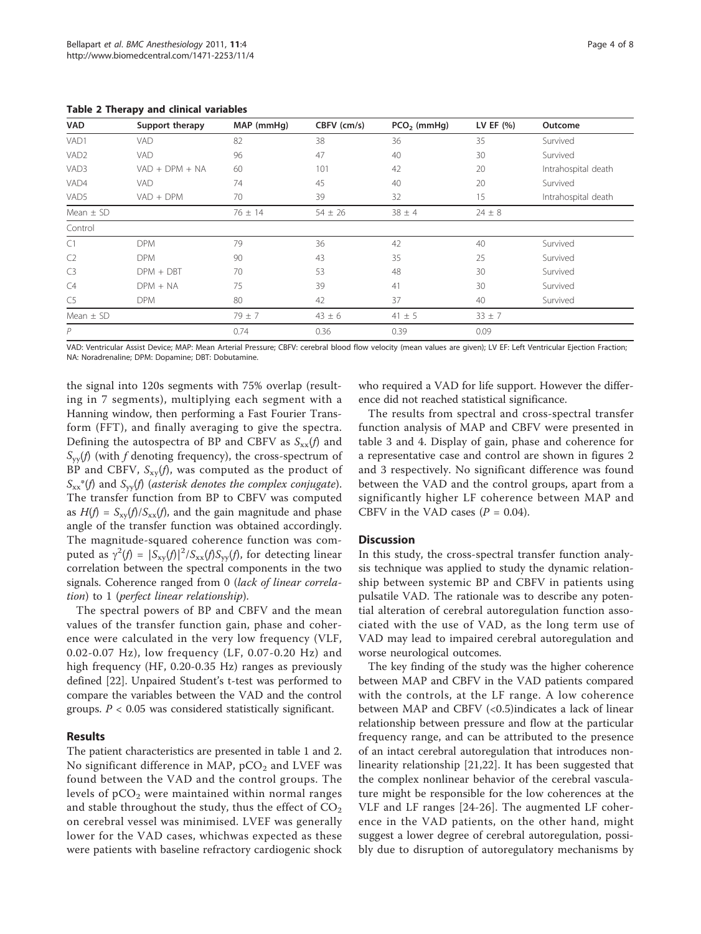| -г з<br><u>with success cares</u> |                  |             |             |               |              |                     |  |  |  |
|-----------------------------------|------------------|-------------|-------------|---------------|--------------|---------------------|--|--|--|
| VAD                               | Support therapy  | MAP (mmHg)  | CBFV (cm/s) | $PCO2$ (mmHg) | LV EF $(% )$ | Outcome<br>Survived |  |  |  |
| VAD1                              | VAD              | 82          | 38          | 36            | 35           |                     |  |  |  |
| VAD <sub>2</sub>                  | VAD              | 96          | 47          | 40            | 30           | Survived            |  |  |  |
| VAD3                              | $VAD + DPM + NA$ | 60          | 101         | 42            | 20           | Intrahospital death |  |  |  |
| VAD4                              | VAD              | 74          | 45          | 40            | 20           | Survived            |  |  |  |
| VAD5                              | $VAD + DPM$      | 70          | 39          | 32            | 15           | Intrahospital death |  |  |  |
| Mean $\pm$ SD                     |                  | $76 \pm 14$ | $54 \pm 26$ | $38 \pm 4$    | $24 \pm 8$   |                     |  |  |  |
| Control                           |                  |             |             |               |              |                     |  |  |  |
| C1                                | <b>DPM</b>       | 79          | 36          | 42            | 40           | Survived            |  |  |  |
| C <sub>2</sub>                    | <b>DPM</b>       | 90          | 43          | 35            | 25           | Survived            |  |  |  |
| C <sub>3</sub>                    | $DPM + DBT$      | 70          | 53          | 48            | 30           | Survived            |  |  |  |
| C4                                | $DPM + NA$       | 75          | 39          | 41            | 30           | Survived            |  |  |  |
| C <sub>5</sub>                    | <b>DPM</b>       | 80          | 42          | 37            | 40           | Survived            |  |  |  |
| Mean $\pm$ SD                     |                  | $79 \pm 7$  | $43 \pm 6$  | $41 \pm 5$    | $33 \pm 7$   |                     |  |  |  |
| $\overline{P}$                    |                  | 0.74        | 0.36        | 0.39          | 0.09         |                     |  |  |  |

<span id="page-3-0"></span>Table 2 Therapy and clinical variables

VAD: Ventricular Assist Device; MAP: Mean Arterial Pressure; CBFV: cerebral blood flow velocity (mean values are given); LV EF: Left Ventricular Ejection Fraction; NA: Noradrenaline; DPM: Dopamine; DBT: Dobutamine.

the signal into 120s segments with 75% overlap (resulting in 7 segments), multiplying each segment with a Hanning window, then performing a Fast Fourier Transform (FFT), and finally averaging to give the spectra. Defining the autospectra of BP and CBFV as  $S_{xx}(f)$  and  $S_{yy}(f)$  (with f denoting frequency), the cross-spectrum of BP and CBFV,  $S_{xy}(f)$ , was computed as the product of  $S_{xx}^*(f)$  and  $S_{yy}(f)$  (asterisk denotes the complex conjugate). The transfer function from BP to CBFV was computed as  $H(f) = S_{xx}(f)/S_{xx}(f)$ , and the gain magnitude and phase angle of the transfer function was obtained accordingly. The magnitude-squared coherence function was computed as  $\gamma^2(f) = |S_{xy}(f)|^2 / S_{xx}(f)S_{yy}(f)$ , for detecting linear<br>correlation between the spectral components in the two correlation between the spectral components in the two signals. Coherence ranged from 0 (lack of linear correlation) to 1 (perfect linear relationship).

The spectral powers of BP and CBFV and the mean values of the transfer function gain, phase and coherence were calculated in the very low frequency (VLF, 0.02-0.07 Hz), low frequency (LF, 0.07-0.20 Hz) and high frequency (HF, 0.20-0.35 Hz) ranges as previously defined [\[22\]](#page-7-0). Unpaired Student's t-test was performed to compare the variables between the VAD and the control groups.  $P < 0.05$  was considered statistically significant.

## Results

The patient characteristics are presented in table [1](#page-2-0) and 2. No significant difference in MAP,  $pCO<sub>2</sub>$  and LVEF was found between the VAD and the control groups. The levels of  $pCO<sub>2</sub>$  were maintained within normal ranges and stable throughout the study, thus the effect of  $CO<sub>2</sub>$ on cerebral vessel was minimised. LVEF was generally lower for the VAD cases, whichwas expected as these were patients with baseline refractory cardiogenic shock

who required a VAD for life support. However the difference did not reached statistical significance.

The results from spectral and cross-spectral transfer function analysis of MAP and CBFV were presented in table [3](#page-4-0) and [4](#page-4-0). Display of gain, phase and coherence for a representative case and control are shown in figures [2](#page-5-0) and [3](#page-6-0) respectively. No significant difference was found between the VAD and the control groups, apart from a significantly higher LF coherence between MAP and CBFV in the VAD cases  $(P = 0.04)$ .

## **Discussion**

In this study, the cross-spectral transfer function analysis technique was applied to study the dynamic relationship between systemic BP and CBFV in patients using pulsatile VAD. The rationale was to describe any potential alteration of cerebral autoregulation function associated with the use of VAD, as the long term use of VAD may lead to impaired cerebral autoregulation and worse neurological outcomes.

The key finding of the study was the higher coherence between MAP and CBFV in the VAD patients compared with the controls, at the LF range. A low coherence between MAP and CBFV (<0.5)indicates a lack of linear relationship between pressure and flow at the particular frequency range, and can be attributed to the presence of an intact cerebral autoregulation that introduces nonlinearity relationship [[21,22\]](#page-7-0). It has been suggested that the complex nonlinear behavior of the cerebral vasculature might be responsible for the low coherences at the VLF and LF ranges [[24-26\]](#page-7-0). The augmented LF coherence in the VAD patients, on the other hand, might suggest a lower degree of cerebral autoregulation, possibly due to disruption of autoregulatory mechanisms by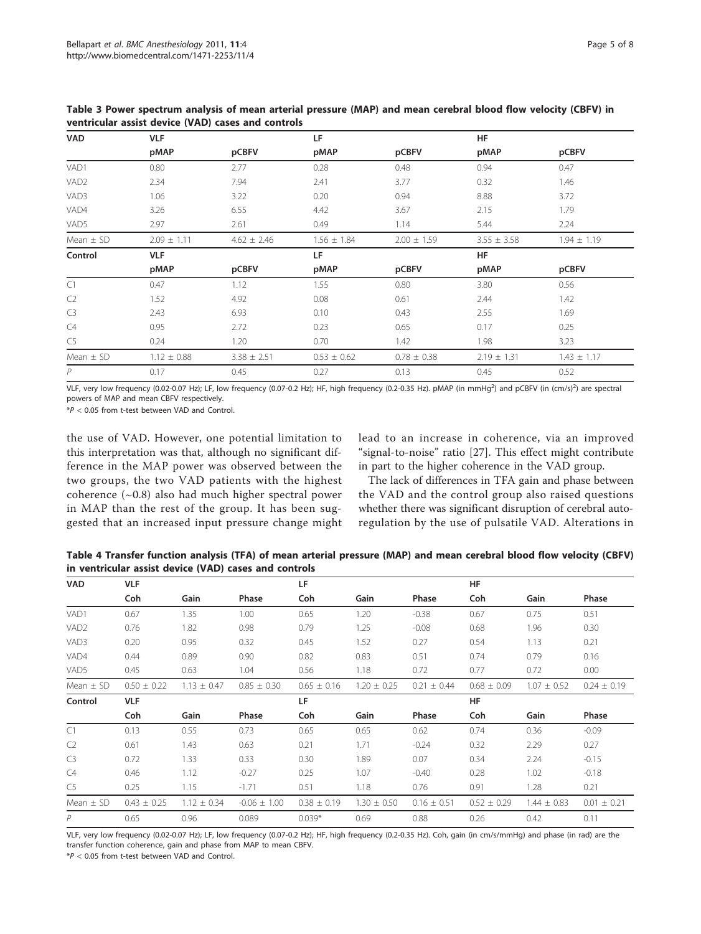| <b>VAD</b>       | <b>VLF</b>      |                 | LF              |                 | <b>HF</b>       |                 |  |  |
|------------------|-----------------|-----------------|-----------------|-----------------|-----------------|-----------------|--|--|
|                  | pMAP            | pCBFV           | pMAP            | pCBFV           | pMAP            | pCBFV           |  |  |
| VAD1             | 0.80            | 2.77            | 0.28            | 0.48            | 0.94            | 0.47            |  |  |
| VAD <sub>2</sub> | 2.34            | 7.94            | 2.41            | 3.77            | 0.32            | 1.46            |  |  |
| VAD3             | 1.06            | 3.22            | 0.20            | 0.94            | 8.88            | 3.72            |  |  |
| VAD4             | 3.26            | 6.55            | 4.42            | 3.67            | 2.15            | 1.79            |  |  |
| VAD5             | 2.97            | 2.61            | 0.49            | 1.14            | 5.44            | 2.24            |  |  |
| Mean $\pm$ SD    | $2.09 \pm 1.11$ | $4.62 \pm 2.46$ | $1.56 \pm 1.84$ | $2.00 \pm 1.59$ | $3.55 \pm 3.58$ | $1.94 \pm 1.19$ |  |  |
| Control          | <b>VLF</b>      |                 | LF              |                 |                 | <b>HF</b>       |  |  |
|                  | pMAP            | pCBFV           | pMAP            | pCBFV           | pMAP            | pCBFV           |  |  |
| C1               | 0.47            | 1.12            | 1.55            | 0.80            | 3.80            | 0.56            |  |  |
| C <sub>2</sub>   | 1.52            | 4.92            | 0.08            | 0.61            | 2.44            | 1.42            |  |  |
| C <sub>3</sub>   | 2.43            | 6.93            | 0.10            | 0.43            | 2.55            | 1.69            |  |  |
| C4               | 0.95            | 2.72            | 0.23            | 0.65            | 0.17            | 0.25            |  |  |
| C <sub>5</sub>   | 0.24            | 1.20            | 0.70            | 1.42            | 1.98            | 3.23            |  |  |
| Mean $\pm$ SD    | $1.12 \pm 0.88$ | $3.38 \pm 2.51$ | $0.53 \pm 0.62$ | $0.78 \pm 0.38$ | $2.19 \pm 1.31$ | $1.43 \pm 1.17$ |  |  |
| $\overline{P}$   | 0.17            | 0.45            | 0.27            | 0.13            | 0.45            | 0.52            |  |  |

<span id="page-4-0"></span>Table 3 Power spectrum analysis of mean arterial pressure (MAP) and mean cerebral blood flow velocity (CBFV) in ventricular assist device (VAD) cases and controls

VLF, very low frequency (0.02-0.07 Hz); LF, low frequency (0.07-0.2 Hz); HF, high frequency (0.2-0.35 Hz). pMAP (in mmHg<sup>2</sup>) and pCBFV (in (cm/s)<sup>2</sup>) are spectral powers of MAP and mean CBFV respectively.

\*P < 0.05 from t-test between VAD and Control.

the use of VAD. However, one potential limitation to this interpretation was that, although no significant difference in the MAP power was observed between the two groups, the two VAD patients with the highest coherence (~0.8) also had much higher spectral power in MAP than the rest of the group. It has been suggested that an increased input pressure change might lead to an increase in coherence, via an improved "signal-to-noise" ratio [[27\]](#page-7-0). This effect might contribute in part to the higher coherence in the VAD group.

The lack of differences in TFA gain and phase between the VAD and the control group also raised questions whether there was significant disruption of cerebral autoregulation by the use of pulsatile VAD. Alterations in

Table 4 Transfer function analysis (TFA) of mean arterial pressure (MAP) and mean cerebral blood flow velocity (CBFV) in ventricular assist device (VAD) cases and controls

| <b>VAD</b>       | <b>VLF</b>      |                 |                  | LF              |                 |                 | HF              |                 |                 |
|------------------|-----------------|-----------------|------------------|-----------------|-----------------|-----------------|-----------------|-----------------|-----------------|
|                  | Coh             | Gain            | Phase            | Coh             | Gain            | Phase           | Coh             | Gain            | Phase           |
| VAD1             | 0.67            | 1.35            | 1.00             | 0.65            | 1.20            | $-0.38$         | 0.67            | 0.75            | 0.51            |
| VAD <sub>2</sub> | 0.76            | 1.82            | 0.98             | 0.79            | 1.25            | $-0.08$         | 0.68            | 1.96            | 0.30            |
| VAD3             | 0.20            | 0.95            | 0.32             | 0.45            | 1.52            | 0.27            | 0.54            | 1.13            | 0.21            |
| VAD4             | 0.44            | 0.89            | 0.90             | 0.82            | 0.83            | 0.51            | 0.74            | 0.79            | 0.16            |
| VAD5             | 0.45            | 0.63            | 1.04             | 0.56            | 1.18            | 0.72            | 0.77            | 0.72            | 0.00            |
| Mean $\pm$ SD    | $0.50 \pm 0.22$ | $1.13 \pm 0.47$ | $0.85 \pm 0.30$  | $0.65 \pm 0.16$ | $1.20 \pm 0.25$ | $0.21 \pm 0.44$ | $0.68 \pm 0.09$ | $1.07 \pm 0.52$ | $0.24 \pm 0.19$ |
| Control          | <b>VLF</b>      |                 |                  | LF              |                 |                 | <b>HF</b>       |                 |                 |
|                  | Coh             | Gain            | Phase            | Coh             | Gain            | Phase           | Coh             | Gain            | Phase           |
| C1               | 0.13            | 0.55            | 0.73             | 0.65            | 0.65            | 0.62            | 0.74            | 0.36            | $-0.09$         |
| C <sub>2</sub>   | 0.61            | 1.43            | 0.63             | 0.21            | 1.71            | $-0.24$         | 0.32            | 2.29            | 0.27            |
| C <sub>3</sub>   | 0.72            | 1.33            | 0.33             | 0.30            | 1.89            | 0.07            | 0.34            | 2.24            | $-0.15$         |
| C4               | 0.46            | 1.12            | $-0.27$          | 0.25            | 1.07            | $-0.40$         | 0.28            | 1.02            | $-0.18$         |
| C5               | 0.25            | 1.15            | $-1.71$          | 0.51            | 1.18            | 0.76            | 0.91            | 1.28            | 0.21            |
| Mean $\pm$ SD    | $0.43 \pm 0.25$ | $1.12 \pm 0.34$ | $-0.06 \pm 1.00$ | $0.38 \pm 0.19$ | $1.30 \pm 0.50$ | $0.16 \pm 0.51$ | $0.52 \pm 0.29$ | $1.44 \pm 0.83$ | $0.01 \pm 0.21$ |
| P                | 0.65            | 0.96            | 0.089            | $0.039*$        | 0.69            | 0.88            | 0.26            | 0.42            | 0.11            |

VLF, very low frequency (0.02-0.07 Hz); LF, low frequency (0.07-0.2 Hz); HF, high frequency (0.2-0.35 Hz). Coh, gain (in cm/s/mmHg) and phase (in rad) are the transfer function coherence, gain and phase from MAP to mean CBFV.

\*P < 0.05 from t-test between VAD and Control.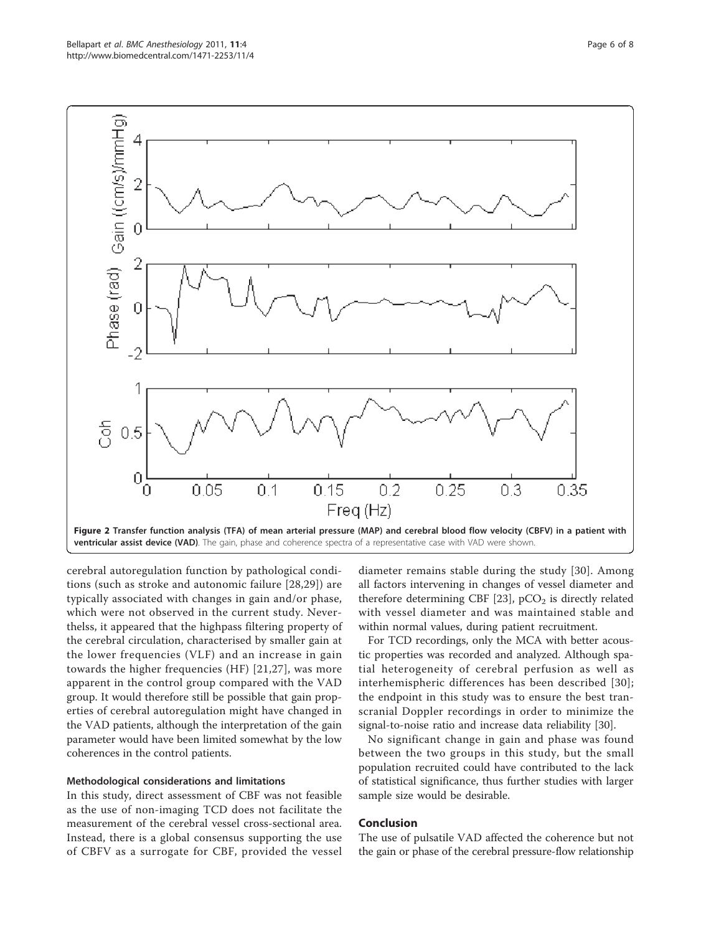<span id="page-5-0"></span>

ventricular assist device (VAD). The gain, phase and coherence spectra of a representative case with VAD were shown

cerebral autoregulation function by pathological conditions (such as stroke and autonomic failure [[28,29](#page-7-0)]) are typically associated with changes in gain and/or phase, which were not observed in the current study. Neverthelss, it appeared that the highpass filtering property of the cerebral circulation, characterised by smaller gain at the lower frequencies (VLF) and an increase in gain towards the higher frequencies (HF) [\[21,27](#page-7-0)], was more apparent in the control group compared with the VAD group. It would therefore still be possible that gain properties of cerebral autoregulation might have changed in the VAD patients, although the interpretation of the gain parameter would have been limited somewhat by the low coherences in the control patients.

## Methodological considerations and limitations

In this study, direct assessment of CBF was not feasible as the use of non-imaging TCD does not facilitate the measurement of the cerebral vessel cross-sectional area. Instead, there is a global consensus supporting the use of CBFV as a surrogate for CBF, provided the vessel

diameter remains stable during the study [\[30](#page-7-0)]. Among all factors intervening in changes of vessel diameter and therefore determining CBF [\[23](#page-7-0)],  $pCO<sub>2</sub>$  is directly related with vessel diameter and was maintained stable and within normal values, during patient recruitment.

For TCD recordings, only the MCA with better acoustic properties was recorded and analyzed. Although spatial heterogeneity of cerebral perfusion as well as interhemispheric differences has been described [[30\]](#page-7-0); the endpoint in this study was to ensure the best transcranial Doppler recordings in order to minimize the signal-to-noise ratio and increase data reliability [[30](#page-7-0)].

No significant change in gain and phase was found between the two groups in this study, but the small population recruited could have contributed to the lack of statistical significance, thus further studies with larger sample size would be desirable.

## Conclusion

The use of pulsatile VAD affected the coherence but not the gain or phase of the cerebral pressure-flow relationship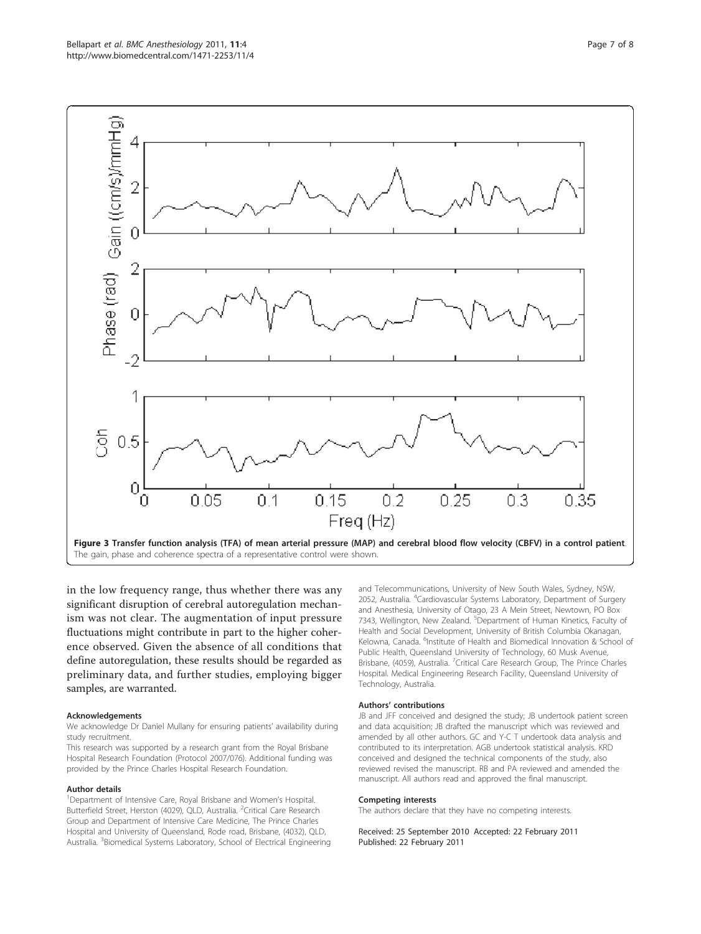<span id="page-6-0"></span>

in the low frequency range, thus whether there was any significant disruption of cerebral autoregulation mechanism was not clear. The augmentation of input pressure fluctuations might contribute in part to the higher coherence observed. Given the absence of all conditions that define autoregulation, these results should be regarded as preliminary data, and further studies, employing bigger samples, are warranted.

#### Acknowledgements

We acknowledge Dr Daniel Mullany for ensuring patients' availability during study recruitment.

This research was supported by a research grant from the Royal Brisbane Hospital Research Foundation (Protocol 2007/076). Additional funding was provided by the Prince Charles Hospital Research Foundation.

#### Author details

<sup>1</sup>Department of Intensive Care, Royal Brisbane and Women's Hospital. Butterfield Street, Herston (4029), QLD, Australia. <sup>2</sup>Critical Care Research Group and Department of Intensive Care Medicine, The Prince Charles Hospital and University of Queensland, Rode road, Brisbane, (4032), QLD, Australia. <sup>3</sup> Biomedical Systems Laboratory, School of Electrical Engineering and Telecommunications, University of New South Wales, Sydney, NSW, 2052, Australia. <sup>4</sup>Cardiovascular Systems Laboratory, Department of Surgery and Anesthesia, University of Otago, 23 A Mein Street, Newtown, PO Box 7343, Wellington, New Zealand. <sup>5</sup>Department of Human Kinetics, Faculty of Health and Social Development, University of British Columbia Okanagan, Kelowna, Canada. <sup>6</sup>Institute of Health and Biomedical Innovation & School of Public Health, Queensland University of Technology, 60 Musk Avenue, Brisbane, (4059), Australia. <sup>7</sup>Critical Care Research Group, The Prince Charles Hospital. Medical Engineering Research Facility, Queensland University of Technology, Australia.

#### Authors' contributions

JB and JFF conceived and designed the study; JB undertook patient screen and data acquisition; JB drafted the manuscript which was reviewed and amended by all other authors. GC and Y-C T undertook data analysis and contributed to its interpretation. AGB undertook statistical analysis. KRD conceived and designed the technical components of the study, also reviewed revised the manuscript. RB and PA reviewed and amended the manuscript. All authors read and approved the final manuscript.

### Competing interests

The authors declare that they have no competing interests.

Received: 25 September 2010 Accepted: 22 February 2011 Published: 22 February 2011